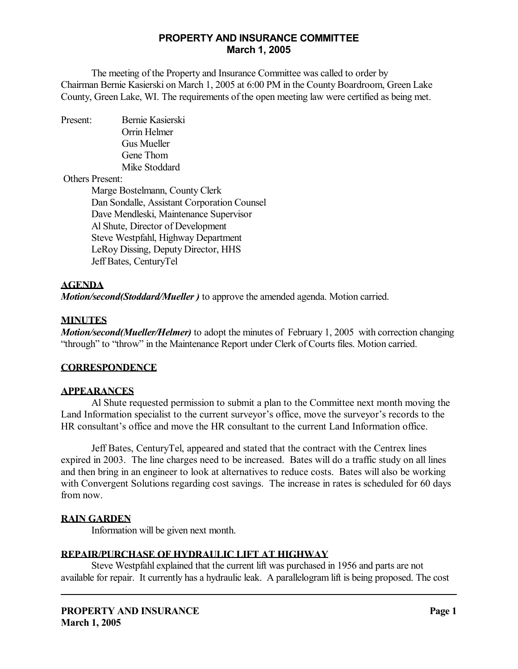# **PROPERTY AND INSURANCE COMMITTEE March 1, 2005**

 The meeting of the Property and Insurance Committee was called to order by Chairman Bernie Kasierski on March 1, 2005 at 6:00 PM in the County Boardroom, Green Lake County, Green Lake, WI. The requirements of the open meeting law were certified as being met.

Present: Bernie Kasierski Orrin Helmer Gus Mueller Gene Thom Mike Stoddard

Others Present:

 Marge Bostelmann, County Clerk Dan Sondalle, Assistant Corporation Counsel Dave Mendleski, Maintenance Supervisor Al Shute, Director of Development Steve Westpfahl, Highway Department LeRoy Dissing, Deputy Director, HHS Jeff Bates, CenturyTel

# **AGENDA**

*Motion/second(Stoddard/Mueller )* to approve the amended agenda. Motion carried.

## **MINUTES**

*Motion/second(Mueller/Helmer)* to adopt the minutes of February 1, 2005 with correction changing "through" to "throw" in the Maintenance Report under Clerk of Courts files. Motion carried.

### **CORRESPONDENCE**

### **APPEARANCES**

 Al Shute requested permission to submit a plan to the Committee next month moving the Land Information specialist to the current surveyor's office, move the surveyor's records to the HR consultant's office and move the HR consultant to the current Land Information office.

Jeff Bates, CenturyTel, appeared and stated that the contract with the Centrex lines expired in 2003. The line charges need to be increased. Bates will do a traffic study on all lines and then bring in an engineer to look at alternatives to reduce costs. Bates will also be working with Convergent Solutions regarding cost savings. The increase in rates is scheduled for 60 days from now.

# **RAIN GARDEN**

Information will be given next month.

# **REPAIR/PURCHASE OF HYDRAULIC LIFT AT HIGHWAY**

 Steve Westpfahl explained that the current lift was purchased in 1956 and parts are not available for repair. It currently has a hydraulic leak. A parallelogram lift is being proposed. The cost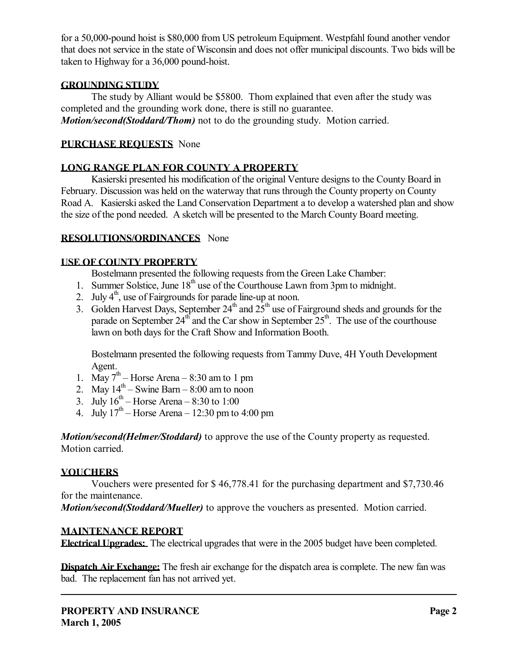for a 50,000-pound hoist is \$80,000 from US petroleum Equipment. Westpfahl found another vendor that does not service in the state of Wisconsin and does not offer municipal discounts. Two bids will be taken to Highway for a 36,000 pound-hoist.

## **GROUNDING STUDY**

 The study by Alliant would be \$5800. Thom explained that even after the study was completed and the grounding work done, there is still no guarantee. *Motion/second(Stoddard/Thom)* not to do the grounding study. Motion carried.

## **PURCHASE REQUESTS** None

# **LONG RANGE PLAN FOR COUNTY A PROPERTY**

 Kasierski presented his modification of the original Venture designs to the County Board in February. Discussion was held on the waterway that runs through the County property on County Road A. Kasierski asked the Land Conservation Department a to develop a watershed plan and show the size of the pond needed. A sketch will be presented to the March County Board meeting.

## **RESOLUTIONS/ORDINANCES** None

## **USE OF COUNTY PROPERTY**

Bostelmann presented the following requests from the Green Lake Chamber:

- 1. Summer Solstice, June 18<sup>th</sup> use of the Courthouse Lawn from 3pm to midnight.
- 2. July  $4^{\text{th}}$ , use of Fairgrounds for parade line-up at noon.
- 3. Golden Harvest Days, September  $24<sup>th</sup>$  and  $25<sup>th</sup>$  use of Fairground sheds and grounds for the parade on September  $24<sup>th</sup>$  and the Car show in September  $25<sup>th</sup>$ . The use of the courthouse lawn on both days for the Craft Show and Information Booth.

Bostelmann presented the following requests from Tammy Duve, 4H Youth Development Agent.

- 1. May  $7<sup>th</sup>$  Horse Arena 8:30 am to 1 pm
- 2. May  $14^{th}$  Swine Barn 8:00 am to noon
- 3. July  $16^{th}$  Horse Arena 8:30 to 1:00
- 4. July  $17<sup>th</sup>$  Horse Arena 12:30 pm to 4:00 pm

*Motion/second(Helmer/Stoddard)* to approve the use of the County property as requested. Motion carried.

# **VOUCHERS**

 Vouchers were presented for \$ 46,778.41 for the purchasing department and \$7,730.46 for the maintenance.

*Motion/second(Stoddard/Mueller)* to approve the vouchers as presented. Motion carried.

# **MAINTENANCE REPORT**

**Electrical Upgrades:** The electrical upgrades that were in the 2005 budget have been completed.

**Dispatch Air Exchange:** The fresh air exchange for the dispatch area is complete. The new fan was bad. The replacement fan has not arrived yet.